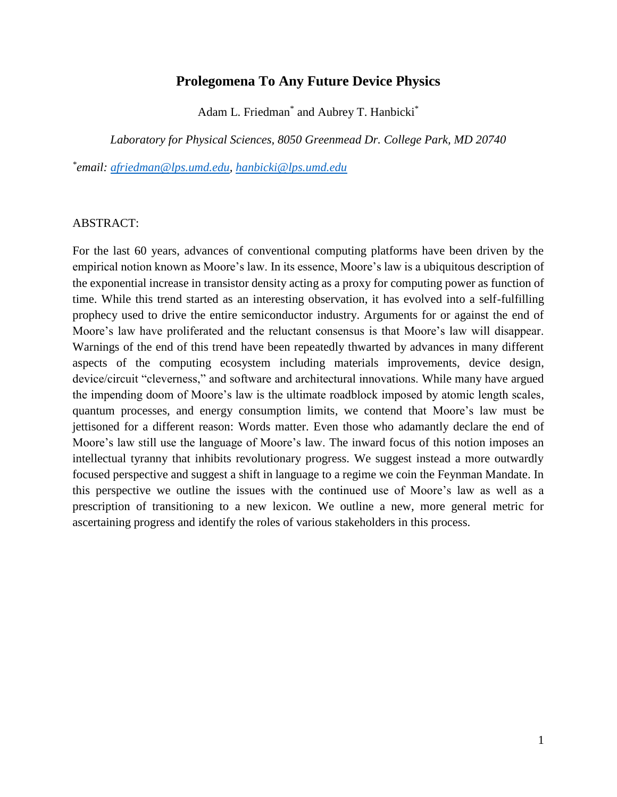# **Prolegomena To Any Future Device Physics**

Adam L. Friedman<sup>\*</sup> and Aubrey T. Hanbicki<sup>\*</sup>

*Laboratory for Physical Sciences, 8050 Greenmead Dr. College Park, MD 20740*

*\* email: [afriedman@lps.umd.edu,](mailto:afriedman@lps.umd.edu) [hanbicki@lps.umd.edu](mailto:hanbicki@lps.umd.edu)*

# ABSTRACT:

For the last 60 years, advances of conventional computing platforms have been driven by the empirical notion known as Moore's law. In its essence, Moore's law is a ubiquitous description of the exponential increase in transistor density acting as a proxy for computing power as function of time. While this trend started as an interesting observation, it has evolved into a self-fulfilling prophecy used to drive the entire semiconductor industry. Arguments for or against the end of Moore's law have proliferated and the reluctant consensus is that Moore's law will disappear. Warnings of the end of this trend have been repeatedly thwarted by advances in many different aspects of the computing ecosystem including materials improvements, device design, device/circuit "cleverness," and software and architectural innovations. While many have argued the impending doom of Moore's law is the ultimate roadblock imposed by atomic length scales, quantum processes, and energy consumption limits, we contend that Moore's law must be jettisoned for a different reason: Words matter. Even those who adamantly declare the end of Moore's law still use the language of Moore's law. The inward focus of this notion imposes an intellectual tyranny that inhibits revolutionary progress. We suggest instead a more outwardly focused perspective and suggest a shift in language to a regime we coin the Feynman Mandate. In this perspective we outline the issues with the continued use of Moore's law as well as a prescription of transitioning to a new lexicon. We outline a new, more general metric for ascertaining progress and identify the roles of various stakeholders in this process.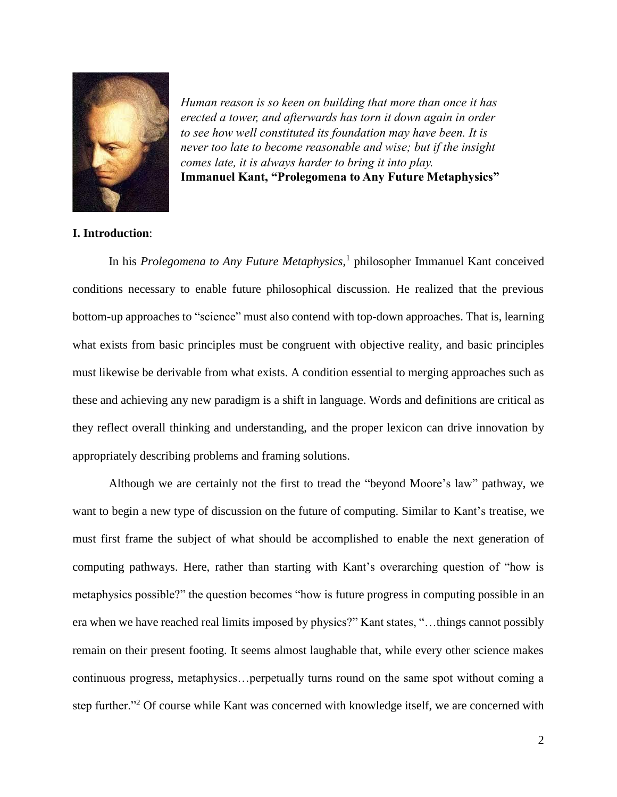

*Human reason is so keen on building that more than once it has erected <sup>a</sup> tower, and afterwards has torn it down again in order to see how well constituted its foundation may have been. It is never too late to become reasonable and wise; but if the insight comes late, it is always harder to bring it into play.* **Immanuel Kant, "Prolegomena to Any Future Metaphysics"**

# **I. Introduction**:

In his *Prolegomena to Any Future Metaphysics*, 1 philosopher Immanuel Kant conceived conditions necessary to enable future philosophical discussion. He realized that the previous bottom-up approaches to "science" must also contend with top-down approaches. That is, learning what exists from basic principles must be congruent with objective reality, and basic principles must likewise be derivable from what exists. A condition essential to merging approaches such as these and achieving any new paradigm is a shift in language. Words and definitions are critical as they reflect overall thinking and understanding, and the proper lexicon can drive innovation by appropriately describing problems and framing solutions.

Although we are certainly not the first to tread the "beyond Moore's law" pathway, we want to begin a new type of discussion on the future of computing. Similar to Kant's treatise, we must first frame the subject of what should be accomplished to enable the next generation of computing pathways. Here, rather than starting with Kant's overarching question of "how is metaphysics possible?" the question becomes "how is future progress in computing possible in an era when we have reached real limits imposed by physics?" Kant states, "…things cannot possibly remain on their present footing. It seems almost laughable that, while every other science makes continuous progress, metaphysics…perpetually turns round on the same spot without coming a step further."<sup>2</sup> Of course while Kant was concerned with knowledge itself, we are concerned with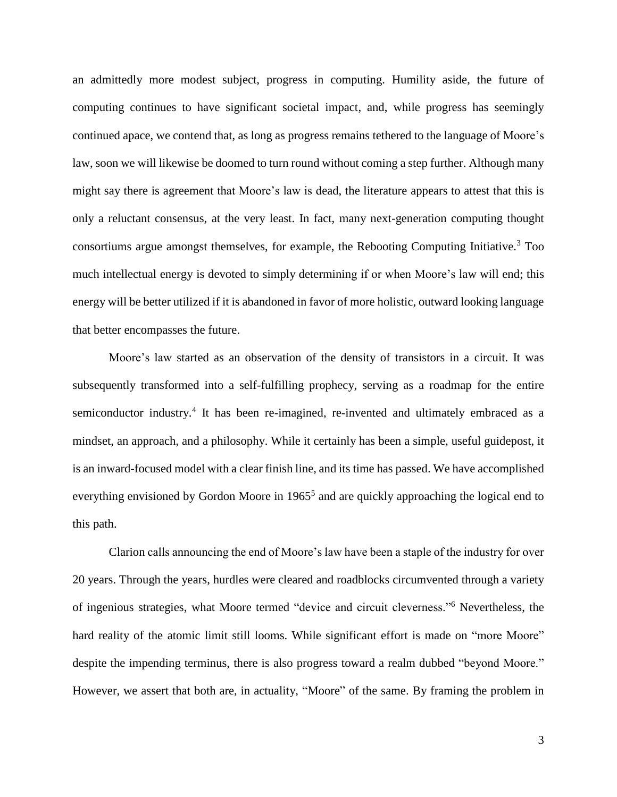an admittedly more modest subject, progress in computing. Humility aside, the future of computing continues to have significant societal impact, and, while progress has seemingly continued apace, we contend that, as long as progress remains tethered to the language of Moore's law, soon we will likewise be doomed to turn round without coming a step further. Although many might say there is agreement that Moore's law is dead, the literature appears to attest that this is only a reluctant consensus, at the very least. In fact, many next-generation computing thought consortiums argue amongst themselves, for example, the Rebooting Computing Initiative. <sup>3</sup> Too much intellectual energy is devoted to simply determining if or when Moore's law will end; this energy will be better utilized if it is abandoned in favor of more holistic, outward looking language that better encompasses the future.

<span id="page-2-2"></span>Moore's law started as an observation of the density of transistors in a circuit. It was subsequently transformed into a self-fulfilling prophecy, serving as a roadmap for the entire semiconductor industry.<sup>4</sup> It has been re-imagined, re-invented and ultimately embraced as a mindset, an approach, and a philosophy. While it certainly has been a simple, useful guidepost, it is an inward-focused model with a clear finish line, and its time has passed. We have accomplished everything envisioned by Gordon Moore in 1965<sup>5</sup> and are quickly approaching the logical end to this path.

<span id="page-2-1"></span><span id="page-2-0"></span>Clarion calls announcing the end of Moore's law have been a staple of the industry for over 20 years. Through the years, hurdles were cleared and roadblocks circumvented through a variety of ingenious strategies, what Moore termed "device and circuit cleverness."<sup>6</sup> Nevertheless, the hard reality of the atomic limit still looms. While significant effort is made on "more Moore" despite the impending terminus, there is also progress toward a realm dubbed "beyond Moore." However, we assert that both are, in actuality, "Moore" of the same. By framing the problem in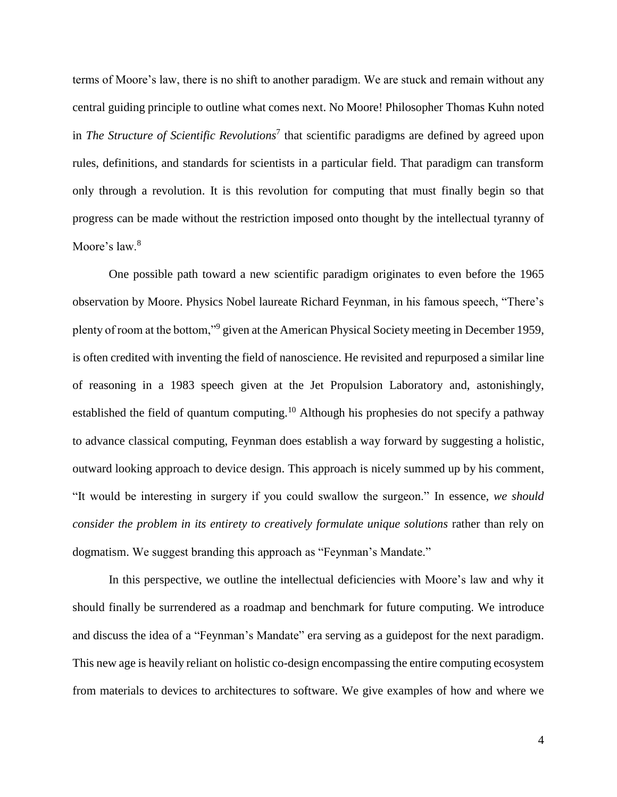terms of Moore's law, there is no shift to another paradigm. We are stuck and remain without any central guiding principle to outline what comes next. No Moore! Philosopher Thomas Kuhn noted in *The Structure of Scientific Revolutions*<sup>7</sup> that scientific paradigms are defined by agreed upon rules, definitions, and standards for scientists in a particular field. That paradigm can transform only through a revolution. It is this revolution for computing that must finally begin so that progress can be made without the restriction imposed onto thought by the intellectual tyranny of Moore's law.<sup>8</sup>

One possible path toward a new scientific paradigm originates to even before the 1965 observation by Moore. Physics Nobel laureate Richard Feynman, in his famous speech, "There's plenty of room at the bottom,"<sup>9</sup> given at the American Physical Society meeting in December 1959, is often credited with inventing the field of nanoscience. He revisited and repurposed a similar line of reasoning in a 1983 speech given at the Jet Propulsion Laboratory and, astonishingly, established the field of quantum computing.<sup>10</sup> Although his prophesies do not specify a pathway to advance classical computing, Feynman does establish a way forward by suggesting a holistic, outward looking approach to device design. This approach is nicely summed up by his comment, "It would be interesting in surgery if you could swallow the surgeon." In essence, *we should consider the problem in its entirety to creatively formulate unique solutions* rather than rely on dogmatism. We suggest branding this approach as "Feynman's Mandate."

In this perspective, we outline the intellectual deficiencies with Moore's law and why it should finally be surrendered as a roadmap and benchmark for future computing. We introduce and discuss the idea of a "Feynman's Mandate" era serving as a guidepost for the next paradigm. This new age is heavily reliant on holistic co-design encompassing the entire computing ecosystem from materials to devices to architectures to software. We give examples of how and where we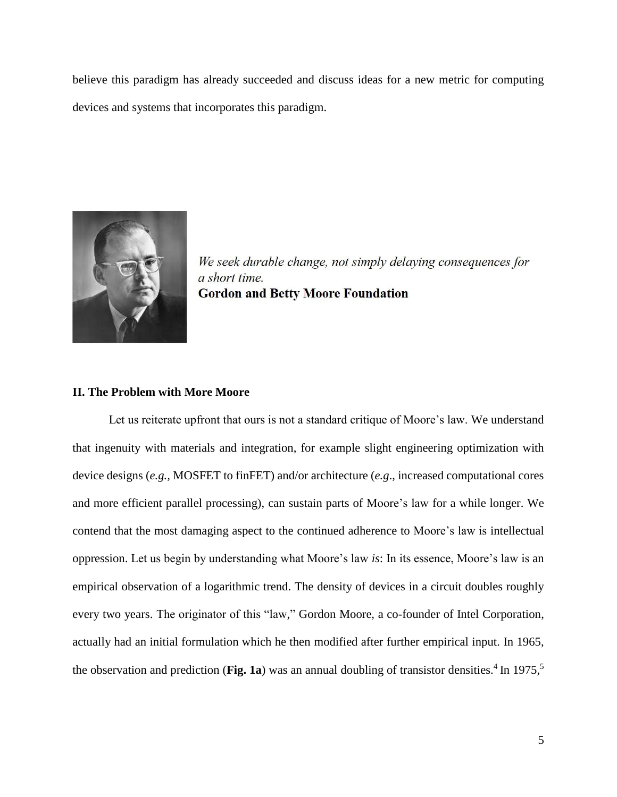believe this paradigm has already succeeded and discuss ideas for a new metric for computing devices and systems that incorporates this paradigm.



We seek durable change, not simply delaying consequences for a short time. **Gordon and Betty Moore Foundation** 

#### **II. The Problem with More Moore**

Let us reiterate upfront that ours is not a standard critique of Moore's law. We understand that ingenuity with materials and integration, for example slight engineering optimization with device designs (*e.g.,* MOSFET to finFET) and/or architecture (*e.g*., increased computational cores and more efficient parallel processing), can sustain parts of Moore's law for a while longer. We contend that the most damaging aspect to the continued adherence to Moore's law is intellectual oppression. Let us begin by understanding what Moore's law *is*: In its essence, Moore's law is an empirical observation of a logarithmic trend. The density of devices in a circuit doubles roughly every two years. The originator of this "law," Gordon Moore, a co-founder of Intel Corporation, actually had an initial formulation which he then modified after further empirical input. In 1965, the observation and prediction (**Fig. 1a**) was an annual doubling of transistor densities.<sup>4</sup> In 1975,<sup>5</sup>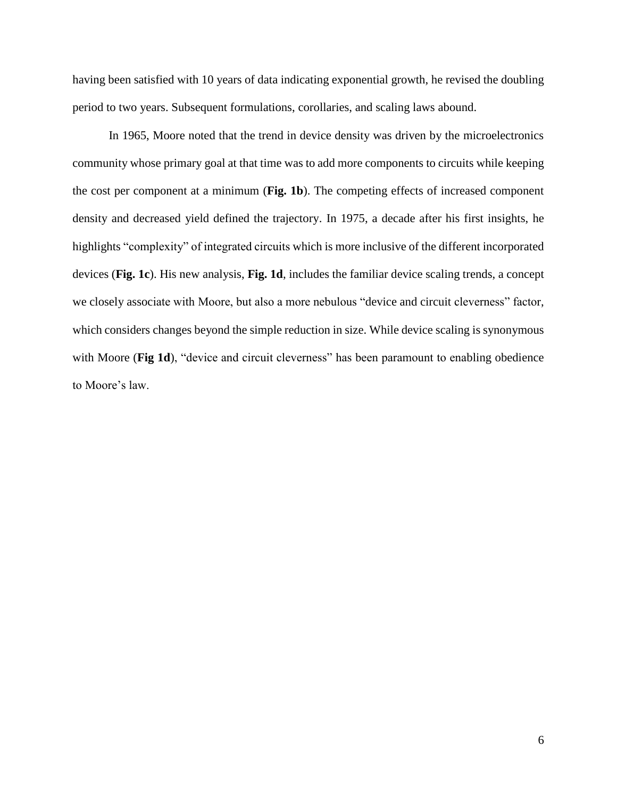having been satisfied with 10 years of data indicating exponential growth, he revised the doubling period to two years. Subsequent formulations, corollaries, and scaling laws abound.

In 1965, Moore noted that the trend in device density was driven by the microelectronics community whose primary goal at that time was to add more components to circuits while keeping the cost per component at a minimum (**Fig. 1b**). The competing effects of increased component density and decreased yield defined the trajectory. In 1975, a decade after his first insights, he highlights "complexity" of integrated circuits which is more inclusive of the different incorporated devices (**Fig. 1c**). His new analysis, **Fig. 1d**, includes the familiar device scaling trends, a concept we closely associate with Moore, but also a more nebulous "device and circuit cleverness" factor, which considers changes beyond the simple reduction in size. While device scaling is synonymous with Moore (**Fig 1d**), "device and circuit cleverness" has been paramount to enabling obedience to Moore's law.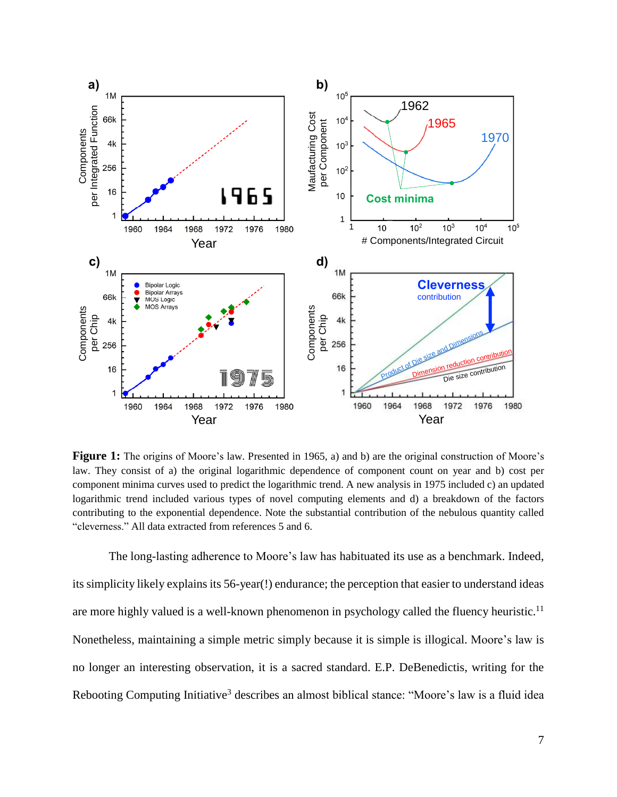

**Figure 1:** The origins of Moore's law. Presented in 1965, a) and b) are the original construction of Moore's law. They consist of a) the original logarithmic dependence of component count on year and b) cost per component minima curves used to predict the logarithmic trend. A new analysis in 1975 included c) an updated logarithmic trend included various types of novel computing elements and d) a breakdown of the factors contributing to the exponential dependence. Note the substantial contribution of the nebulous quantity called "cleverness." All data extracted from references [5](#page-2-0) and [6.](#page-2-1)

The long-lasting adherence to Moore's law has habituated its use as a benchmark. Indeed, its simplicity likely explains its 56-year(!) endurance; the perception that easier to understand ideas are more highly valued is a well-known phenomenon in psychology called the fluency heuristic.<sup>11</sup> Nonetheless, maintaining a simple metric simply because it is simple is illogical. Moore's law is no longer an interesting observation, it is a sacred standard. E.P. DeBenedictis, writing for the Rebooting Computing Initiative<sup>[3](#page-2-2)</sup> describes an almost biblical stance: "Moore's law is a fluid idea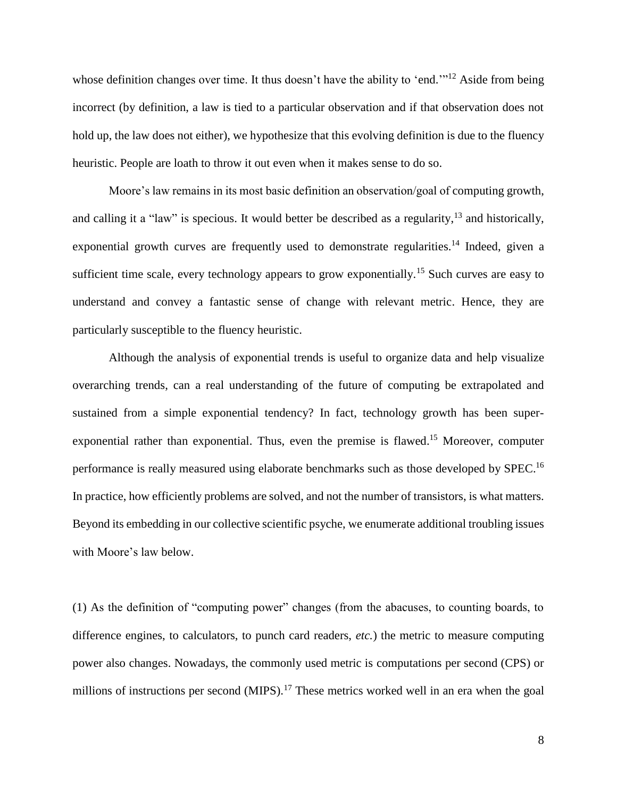whose definition changes over time. It thus doesn't have the ability to 'end.'"<sup>12</sup> Aside from being incorrect (by definition, a law is tied to a particular observation and if that observation does not hold up, the law does not either), we hypothesize that this evolving definition is due to the fluency heuristic. People are loath to throw it out even when it makes sense to do so.

<span id="page-7-0"></span>Moore's law remains in its most basic definition an observation/goal of computing growth, and calling it a "law" is specious. It would better be described as a regularity,  $13$  and historically, exponential growth curves are frequently used to demonstrate regularities.<sup>14</sup> Indeed, given a sufficient time scale, every technology appears to grow exponentially.<sup>15</sup> Such curves are easy to understand and convey a fantastic sense of change with relevant metric. Hence, they are particularly susceptible to the fluency heuristic.

Although the analysis of exponential trends is useful to organize data and help visualize overarching trends, can a real understanding of the future of computing be extrapolated and sustained from a simple exponential tendency? In fact, technology growth has been super-exponential rather than exponential. Thus, even the premise is flawed.<sup>[15](#page-7-0)</sup> Moreover, computer performance is really measured using elaborate benchmarks such as those developed by SPEC.<sup>16</sup> In practice, how efficiently problems are solved, and not the number of transistors, is what matters. Beyond its embedding in our collective scientific psyche, we enumerate additional troubling issues with Moore's law below.

(1) As the definition of "computing power" changes (from the abacuses, to counting boards, to difference engines, to calculators, to punch card readers, *etc.*) the metric to measure computing power also changes. Nowadays, the commonly used metric is computations per second (CPS) or millions of instructions per second (MIPS).<sup>17</sup> These metrics worked well in an era when the goal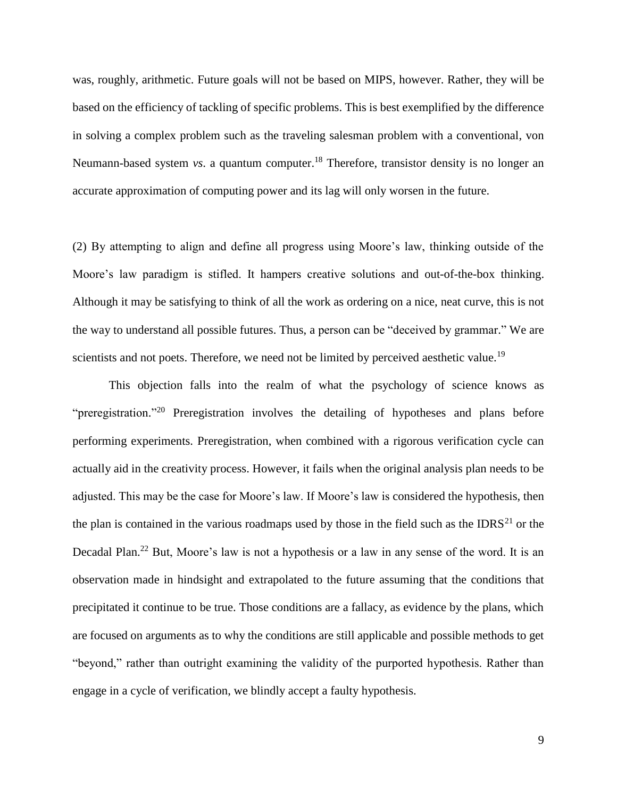was, roughly, arithmetic. Future goals will not be based on MIPS, however. Rather, they will be based on the efficiency of tackling of specific problems. This is best exemplified by the difference in solving a complex problem such as the traveling salesman problem with a conventional, von Neumann-based system *vs*. a quantum computer. <sup>18</sup> Therefore, transistor density is no longer an accurate approximation of computing power and its lag will only worsen in the future.

(2) By attempting to align and define all progress using Moore's law, thinking outside of the Moore's law paradigm is stifled. It hampers creative solutions and out-of-the-box thinking. Although it may be satisfying to think of all the work as ordering on a nice, neat curve, this is not the way to understand all possible futures. Thus, a person can be "deceived by grammar." We are scientists and not poets. Therefore, we need not be limited by perceived aesthetic value.<sup>19</sup>

<span id="page-8-1"></span><span id="page-8-0"></span>This objection falls into the realm of what the psychology of science knows as "preregistration."<sup>20</sup> Preregistration involves the detailing of hypotheses and plans before performing experiments. Preregistration, when combined with a rigorous verification cycle can actually aid in the creativity process. However, it fails when the original analysis plan needs to be adjusted. This may be the case for Moore's law. If Moore's law is considered the hypothesis, then the plan is contained in the various roadmaps used by those in the field such as the IDRS<sup>21</sup> or the Decadal Plan.<sup>22</sup> But, Moore's law is not a hypothesis or a law in any sense of the word. It is an observation made in hindsight and extrapolated to the future assuming that the conditions that precipitated it continue to be true. Those conditions are a fallacy, as evidence by the plans, which are focused on arguments as to why the conditions are still applicable and possible methods to get "beyond," rather than outright examining the validity of the purported hypothesis. Rather than engage in a cycle of verification, we blindly accept a faulty hypothesis.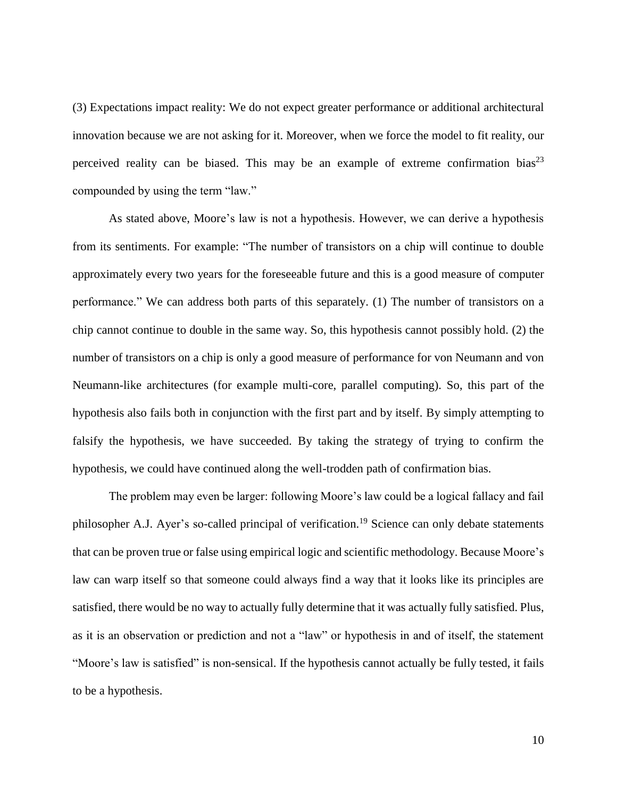(3) Expectations impact reality: We do not expect greater performance or additional architectural innovation because we are not asking for it. Moreover, when we force the model to fit reality, our perceived reality can be biased. This may be an example of extreme confirmation bias<sup>23</sup> compounded by using the term "law."

As stated above, Moore's law is not a hypothesis. However, we can derive a hypothesis from its sentiments. For example: "The number of transistors on a chip will continue to double approximately every two years for the foreseeable future and this is a good measure of computer performance." We can address both parts of this separately. (1) The number of transistors on a chip cannot continue to double in the same way. So, this hypothesis cannot possibly hold. (2) the number of transistors on a chip is only a good measure of performance for von Neumann and von Neumann-like architectures (for example multi-core, parallel computing). So, this part of the hypothesis also fails both in conjunction with the first part and by itself. By simply attempting to falsify the hypothesis, we have succeeded. By taking the strategy of trying to confirm the hypothesis, we could have continued along the well-trodden path of confirmation bias.

The problem may even be larger: following Moore's law could be a logical fallacy and fail philosopher A.J. Ayer's so-called principal of verification.<sup>[19](#page-8-0)</sup> Science can only debate statements that can be proven true or false using empirical logic and scientific methodology. Because Moore's law can warp itself so that someone could always find a way that it looks like its principles are satisfied, there would be no way to actually fully determine that it was actually fully satisfied. Plus, as it is an observation or prediction and not a "law" or hypothesis in and of itself, the statement "Moore's law is satisfied" is non-sensical. If the hypothesis cannot actually be fully tested, it fails to be a hypothesis.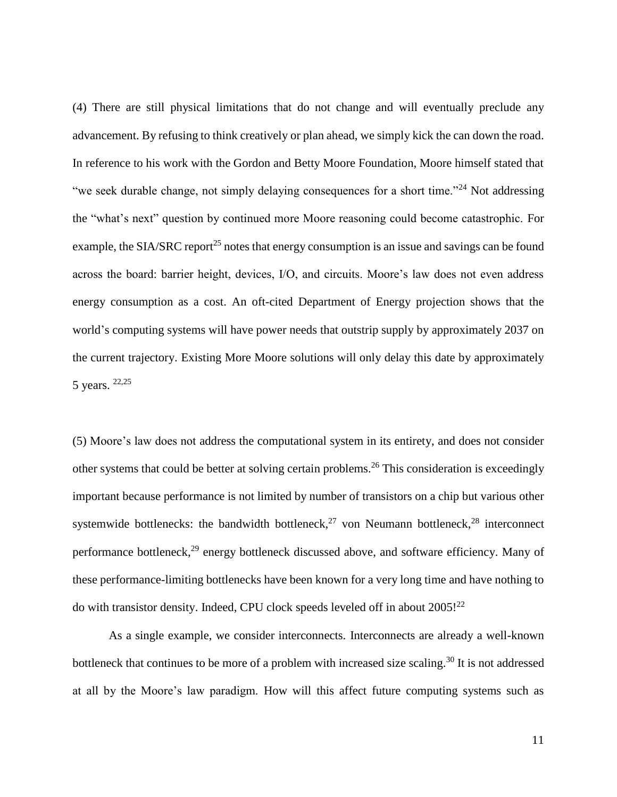<span id="page-10-0"></span>(4) There are still physical limitations that do not change and will eventually preclude any advancement. By refusing to think creatively or plan ahead, we simply kick the can down the road. In reference to his work with the Gordon and Betty Moore Foundation, Moore himself stated that "we seek durable change, not simply delaying consequences for a short time."<sup>24</sup> Not addressing the "what's next" question by continued more Moore reasoning could become catastrophic. For example, the SIA/SRC report<sup>25</sup> notes that energy consumption is an issue and savings can be found across the board: barrier height, devices, I/O, and circuits. Moore's law does not even address energy consumption as a cost. An oft-cited Department of Energy projection shows that the world's computing systems will have power needs that outstrip supply by approximately 2037 on the current trajectory. Existing More Moore solutions will only delay this date by approximately 5 years. [22,](#page-8-1)[25](#page-10-0)

(5) Moore's law does not address the computational system in its entirety, and does not consider other systems that could be better at solving certain problems. <sup>26</sup> This consideration is exceedingly important because performance is not limited by number of transistors on a chip but various other systemwide bottlenecks: the bandwidth bottleneck,  $27$  von Neumann bottleneck,  $28$  interconnect performance bottleneck,<sup>29</sup> energy bottleneck discussed above, and software efficiency. Many of these performance-limiting bottlenecks have been known for a very long time and have nothing to do with transistor density. Indeed, CPU clock speeds leveled off in about 2005!<sup>[22](#page-8-1)</sup>

As a single example, we consider interconnects. Interconnects are already a well-known bottleneck that continues to be more of a problem with increased size scaling.<sup>30</sup> It is not addressed at all by the Moore's law paradigm. How will this affect future computing systems such as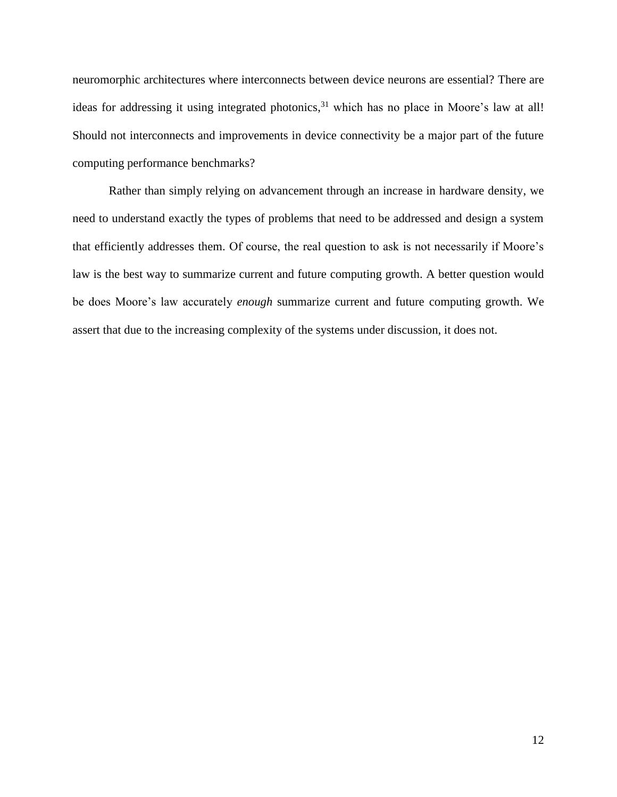neuromorphic architectures where interconnects between device neurons are essential? There are ideas for addressing it using integrated photonics,<sup>31</sup> which has no place in Moore's law at all! Should not interconnects and improvements in device connectivity be a major part of the future computing performance benchmarks?

Rather than simply relying on advancement through an increase in hardware density, we need to understand exactly the types of problems that need to be addressed and design a system that efficiently addresses them. Of course, the real question to ask is not necessarily if Moore's law is the best way to summarize current and future computing growth. A better question would be does Moore's law accurately *enough* summarize current and future computing growth. We assert that due to the increasing complexity of the systems under discussion, it does not.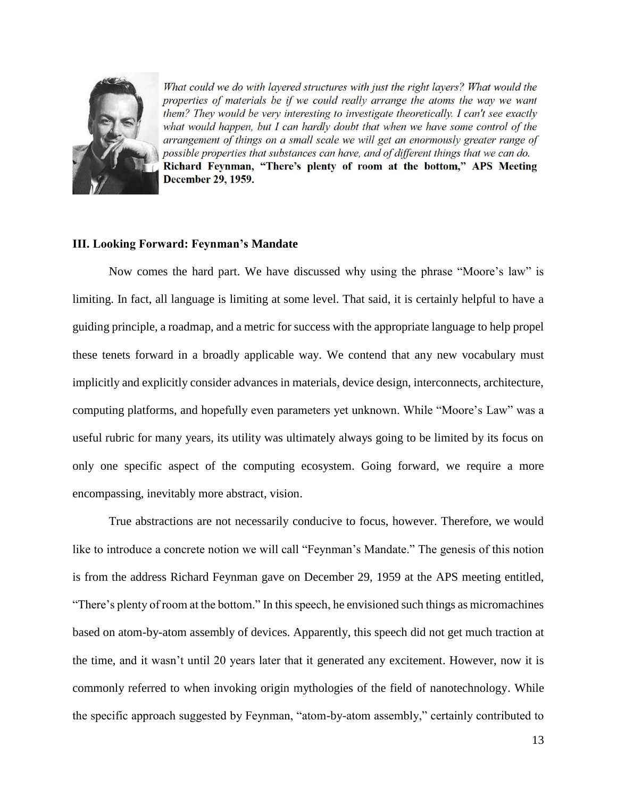

What could we do with layered structures with just the right layers? What would the properties of materials be if we could really arrange the atoms the way we want them? They would be very interesting to investigate theoretically. I can't see exactly what would happen, but I can hardly doubt that when we have some control of the arrangement of things on a small scale we will get an enormously greater range of possible properties that substances can have, and of different things that we can do. Richard Feynman, "There's plenty of room at the bottom," APS Meeting December 29, 1959.

### **III. Looking Forward: Feynman's Mandate**

Now comes the hard part. We have discussed why using the phrase "Moore's law" is limiting. In fact, all language is limiting at some level. That said, it is certainly helpful to have a guiding principle, a roadmap, and a metric for success with the appropriate language to help propel these tenets forward in a broadly applicable way. We contend that any new vocabulary must implicitly and explicitly consider advances in materials, device design, interconnects, architecture, computing platforms, and hopefully even parameters yet unknown. While "Moore's Law" was a useful rubric for many years, its utility was ultimately always going to be limited by its focus on only one specific aspect of the computing ecosystem. Going forward, we require a more encompassing, inevitably more abstract, vision.

True abstractions are not necessarily conducive to focus, however. Therefore, we would like to introduce a concrete notion we will call "Feynman's Mandate." The genesis of this notion is from the address Richard Feynman gave on December 29, 1959 at the APS meeting entitled, "There's plenty of room at the bottom." In this speech, he envisioned such things as micromachines based on atom-by-atom assembly of devices. Apparently, this speech did not get much traction at the time, and it wasn't until 20 years later that it generated any excitement. However, now it is commonly referred to when invoking origin mythologies of the field of nanotechnology. While the specific approach suggested by Feynman, "atom-by-atom assembly," certainly contributed to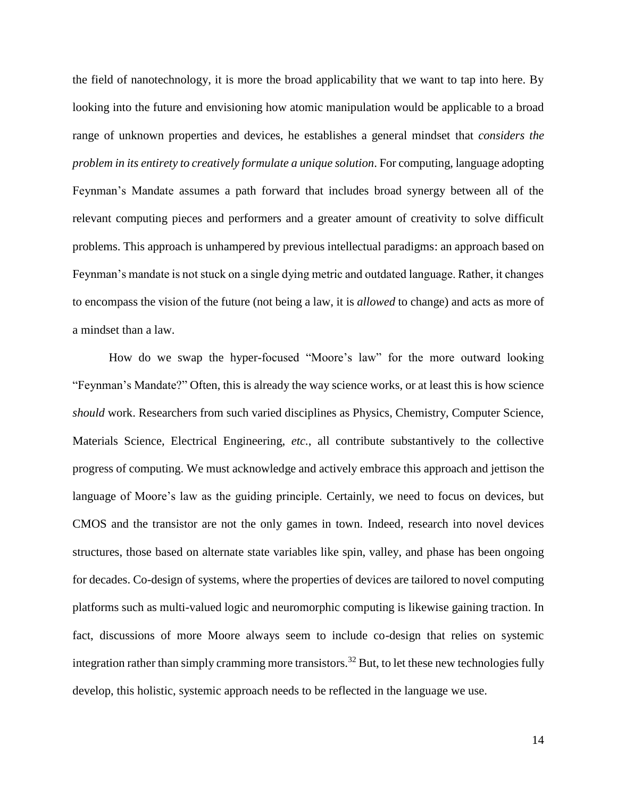the field of nanotechnology, it is more the broad applicability that we want to tap into here. By looking into the future and envisioning how atomic manipulation would be applicable to a broad range of unknown properties and devices, he establishes a general mindset that *considers the problem in its entirety to creatively formulate a unique solution*. For computing, language adopting Feynman's Mandate assumes a path forward that includes broad synergy between all of the relevant computing pieces and performers and a greater amount of creativity to solve difficult problems. This approach is unhampered by previous intellectual paradigms: an approach based on Feynman's mandate is not stuck on a single dying metric and outdated language. Rather, it changes to encompass the vision of the future (not being a law, it is *allowed* to change) and acts as more of a mindset than a law.

How do we swap the hyper-focused "Moore's law" for the more outward looking "Feynman's Mandate?" Often, this is already the way science works, or at least this is how science *should* work. Researchers from such varied disciplines as Physics, Chemistry, Computer Science, Materials Science, Electrical Engineering, *etc.*, all contribute substantively to the collective progress of computing. We must acknowledge and actively embrace this approach and jettison the language of Moore's law as the guiding principle. Certainly, we need to focus on devices, but CMOS and the transistor are not the only games in town. Indeed, research into novel devices structures, those based on alternate state variables like spin, valley, and phase has been ongoing for decades. Co-design of systems, where the properties of devices are tailored to novel computing platforms such as multi-valued logic and neuromorphic computing is likewise gaining traction. In fact, discussions of more Moore always seem to include co-design that relies on systemic integration rather than simply cramming more transistors.<sup>32</sup> But, to let these new technologies fully develop, this holistic, systemic approach needs to be reflected in the language we use.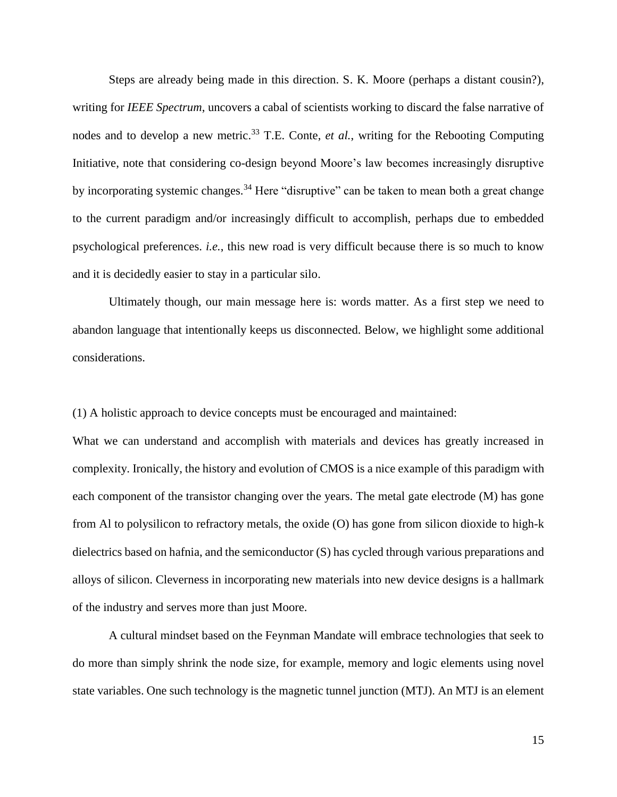Steps are already being made in this direction. S. K. Moore (perhaps a distant cousin?), writing for *IEEE Spectrum*, uncovers a cabal of scientists working to discard the false narrative of nodes and to develop a new metric.<sup>33</sup> T.E. Conte, *et al.*, writing for the Rebooting Computing Initiative, note that considering co-design beyond Moore's law becomes increasingly disruptive by incorporating systemic changes.<sup>34</sup> Here "disruptive" can be taken to mean both a great change to the current paradigm and/or increasingly difficult to accomplish, perhaps due to embedded psychological preferences. *i.e.*, this new road is very difficult because there is so much to know and it is decidedly easier to stay in a particular silo.

Ultimately though, our main message here is: words matter. As a first step we need to abandon language that intentionally keeps us disconnected. Below, we highlight some additional considerations.

(1) A holistic approach to device concepts must be encouraged and maintained:

What we can understand and accomplish with materials and devices has greatly increased in complexity. Ironically, the history and evolution of CMOS is a nice example of this paradigm with each component of the transistor changing over the years. The metal gate electrode (M) has gone from Al to polysilicon to refractory metals, the oxide (O) has gone from silicon dioxide to high-k dielectrics based on hafnia, and the semiconductor (S) has cycled through various preparations and alloys of silicon. Cleverness in incorporating new materials into new device designs is a hallmark of the industry and serves more than just Moore.

A cultural mindset based on the Feynman Mandate will embrace technologies that seek to do more than simply shrink the node size, for example, memory and logic elements using novel state variables. One such technology is the magnetic tunnel junction (MTJ). An MTJ is an element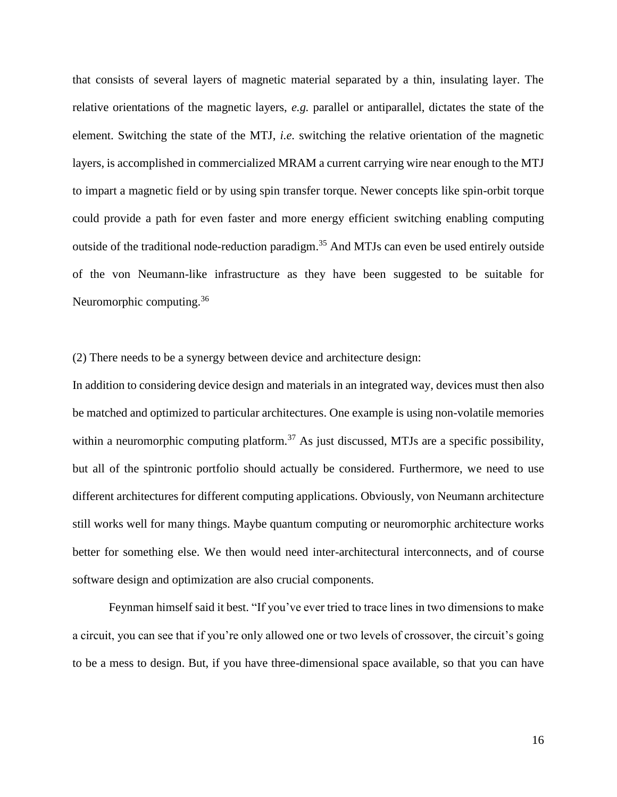that consists of several layers of magnetic material separated by a thin, insulating layer. The relative orientations of the magnetic layers, *e.g.* parallel or antiparallel, dictates the state of the element. Switching the state of the MTJ, *i.e.* switching the relative orientation of the magnetic layers, is accomplished in commercialized MRAM a current carrying wire near enough to the MTJ to impart a magnetic field or by using spin transfer torque. Newer concepts like spin-orbit torque could provide a path for even faster and more energy efficient switching enabling computing outside of the traditional node-reduction paradigm.<sup>35</sup> And MTJs can even be used entirely outside of the von Neumann-like infrastructure as they have been suggested to be suitable for Neuromorphic computing.<sup>36</sup>

(2) There needs to be a synergy between device and architecture design:

In addition to considering device design and materials in an integrated way, devices must then also be matched and optimized to particular architectures. One example is using non-volatile memories within a neuromorphic computing platform.<sup>37</sup> As just discussed, MTJs are a specific possibility, but all of the spintronic portfolio should actually be considered. Furthermore, we need to use different architectures for different computing applications. Obviously, von Neumann architecture still works well for many things. Maybe quantum computing or neuromorphic architecture works better for something else. We then would need inter-architectural interconnects, and of course software design and optimization are also crucial components.

Feynman himself said it best. "If you've ever tried to trace lines in two dimensions to make a circuit, you can see that if you're only allowed one or two levels of crossover, the circuit's going to be a mess to design. But, if you have three-dimensional space available, so that you can have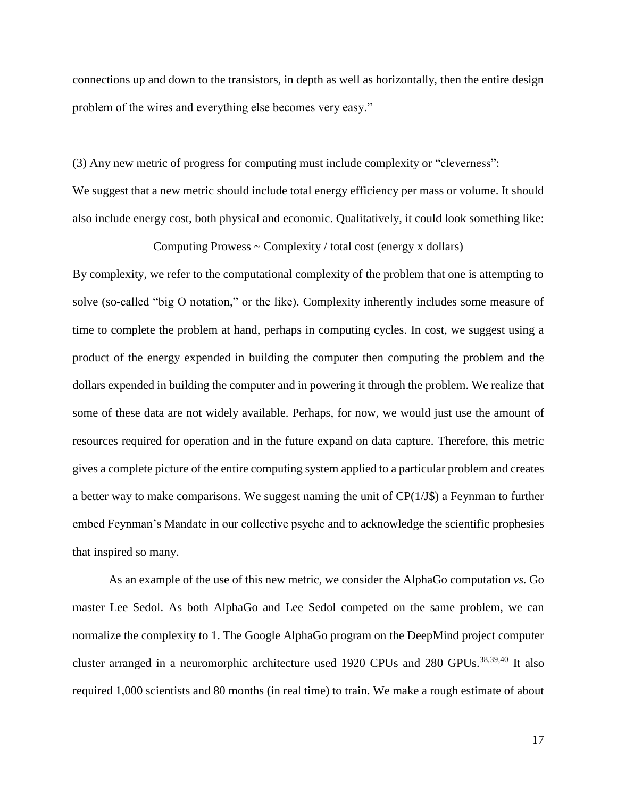connections up and down to the transistors, in depth as well as horizontally, then the entire design problem of the wires and everything else becomes very easy."

(3) Any new metric of progress for computing must include complexity or "cleverness":

We suggest that a new metric should include total energy efficiency per mass or volume. It should also include energy cost, both physical and economic. Qualitatively, it could look something like:

Computing Prowess  $\sim$  Complexity / total cost (energy x dollars)

By complexity, we refer to the computational complexity of the problem that one is attempting to solve (so-called "big O notation," or the like). Complexity inherently includes some measure of time to complete the problem at hand, perhaps in computing cycles. In cost, we suggest using a product of the energy expended in building the computer then computing the problem and the dollars expended in building the computer and in powering it through the problem. We realize that some of these data are not widely available. Perhaps, for now, we would just use the amount of resources required for operation and in the future expand on data capture. Therefore, this metric gives a complete picture of the entire computing system applied to a particular problem and creates a better way to make comparisons. We suggest naming the unit of  $CP(1/J\$ \$) a Feynman to further embed Feynman's Mandate in our collective psyche and to acknowledge the scientific prophesies that inspired so many.

As an example of the use of this new metric, we consider the AlphaGo computation *vs.* Go master Lee Sedol. As both AlphaGo and Lee Sedol competed on the same problem, we can normalize the complexity to 1. The Google AlphaGo program on the DeepMind project computer cluster arranged in a neuromorphic architecture used 1920 CPUs and 280 GPUs.<sup>38,39,40</sup> It also required 1,000 scientists and 80 months (in real time) to train. We make a rough estimate of about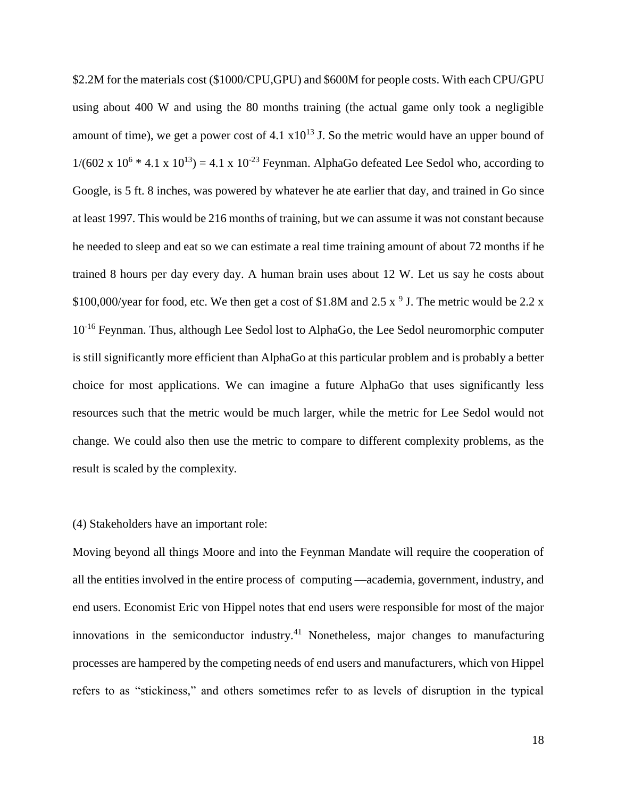\$2.2M for the materials cost (\$1000/CPU,GPU) and \$600M for people costs. With each CPU/GPU using about 400 W and using the 80 months training (the actual game only took a negligible amount of time), we get a power cost of 4.1  $x10^{13}$  J. So the metric would have an upper bound of  $1/(602 \times 10^6 * 4.1 \times 10^{13}) = 4.1 \times 10^{-23}$  Feynman. AlphaGo defeated Lee Sedol who, according to Google, is 5 ft. 8 inches, was powered by whatever he ate earlier that day, and trained in Go since at least 1997. This would be 216 months of training, but we can assume it was not constant because he needed to sleep and eat so we can estimate a real time training amount of about 72 months if he trained 8 hours per day every day. A human brain uses about 12 W. Let us say he costs about \$100,000/year for food, etc. We then get a cost of \$1.8M and 2.5  $\frac{x}{9}$  J. The metric would be 2.2 x 10<sup>-16</sup> Feynman. Thus, although Lee Sedol lost to AlphaGo, the Lee Sedol neuromorphic computer is still significantly more efficient than AlphaGo at this particular problem and is probably a better choice for most applications. We can imagine a future AlphaGo that uses significantly less resources such that the metric would be much larger, while the metric for Lee Sedol would not change. We could also then use the metric to compare to different complexity problems, as the result is scaled by the complexity.

#### (4) Stakeholders have an important role:

<span id="page-17-0"></span>Moving beyond all things Moore and into the Feynman Mandate will require the cooperation of all the entities involved in the entire process of computing —academia, government, industry, and end users. Economist Eric von Hippel notes that end users were responsible for most of the major innovations in the semiconductor industry.<sup>41</sup> Nonetheless, major changes to manufacturing processes are hampered by the competing needs of end users and manufacturers, which von Hippel refers to as "stickiness," and others sometimes refer to as levels of disruption in the typical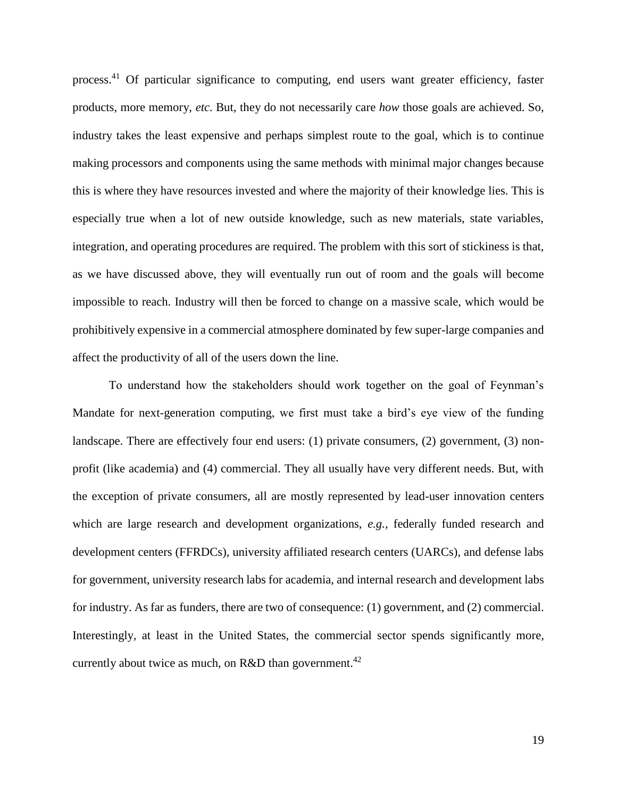process.[41](#page-17-0) Of particular significance to computing, end users want greater efficiency, faster products, more memory, *etc*. But, they do not necessarily care *how* those goals are achieved. So, industry takes the least expensive and perhaps simplest route to the goal, which is to continue making processors and components using the same methods with minimal major changes because this is where they have resources invested and where the majority of their knowledge lies. This is especially true when a lot of new outside knowledge, such as new materials, state variables, integration, and operating procedures are required. The problem with this sort of stickiness is that, as we have discussed above, they will eventually run out of room and the goals will become impossible to reach. Industry will then be forced to change on a massive scale, which would be prohibitively expensive in a commercial atmosphere dominated by few super-large companies and affect the productivity of all of the users down the line.

To understand how the stakeholders should work together on the goal of Feynman's Mandate for next-generation computing, we first must take a bird's eye view of the funding landscape. There are effectively four end users: (1) private consumers, (2) government, (3) nonprofit (like academia) and (4) commercial. They all usually have very different needs. But, with the exception of private consumers, all are mostly represented by lead-user innovation centers which are large research and development organizations, *e.g.*, federally funded research and development centers (FFRDCs), university affiliated research centers (UARCs), and defense labs for government, university research labs for academia, and internal research and development labs for industry. As far as funders, there are two of consequence: (1) government, and (2) commercial. Interestingly, at least in the United States, the commercial sector spends significantly more, currently about twice as much, on R&D than government.<sup>42</sup>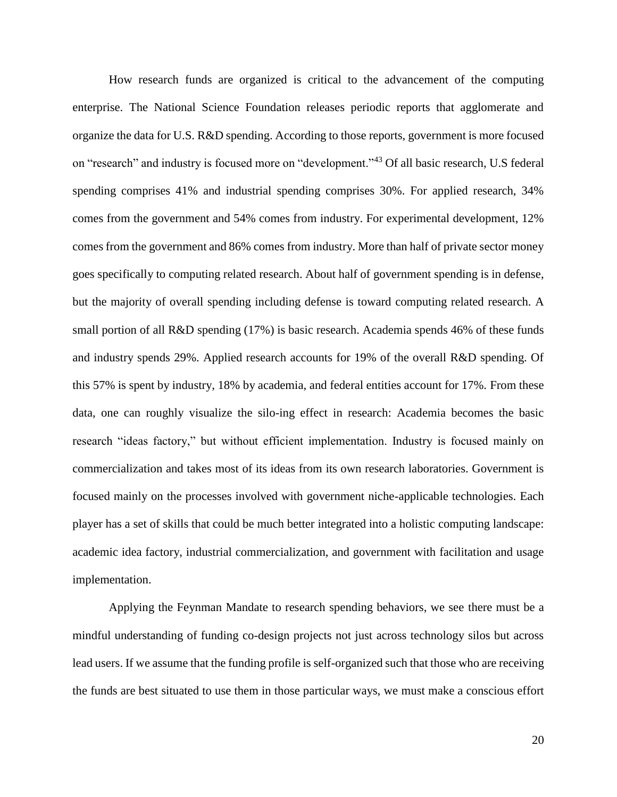How research funds are organized is critical to the advancement of the computing enterprise. The National Science Foundation releases periodic reports that agglomerate and organize the data for U.S. R&D spending. According to those reports, government is more focused on "research" and industry is focused more on "development."<sup>43</sup> Of all basic research, U.S federal spending comprises 41% and industrial spending comprises 30%. For applied research, 34% comes from the government and 54% comes from industry. For experimental development, 12% comes from the government and 86% comes from industry. More than half of private sector money goes specifically to computing related research. About half of government spending is in defense, but the majority of overall spending including defense is toward computing related research. A small portion of all R&D spending (17%) is basic research. Academia spends 46% of these funds and industry spends 29%. Applied research accounts for 19% of the overall R&D spending. Of this 57% is spent by industry, 18% by academia, and federal entities account for 17%. From these data, one can roughly visualize the silo-ing effect in research: Academia becomes the basic research "ideas factory," but without efficient implementation. Industry is focused mainly on commercialization and takes most of its ideas from its own research laboratories. Government is focused mainly on the processes involved with government niche-applicable technologies. Each player has a set of skills that could be much better integrated into a holistic computing landscape: academic idea factory, industrial commercialization, and government with facilitation and usage implementation.

Applying the Feynman Mandate to research spending behaviors, we see there must be a mindful understanding of funding co-design projects not just across technology silos but across lead users. If we assume that the funding profile is self-organized such that those who are receiving the funds are best situated to use them in those particular ways, we must make a conscious effort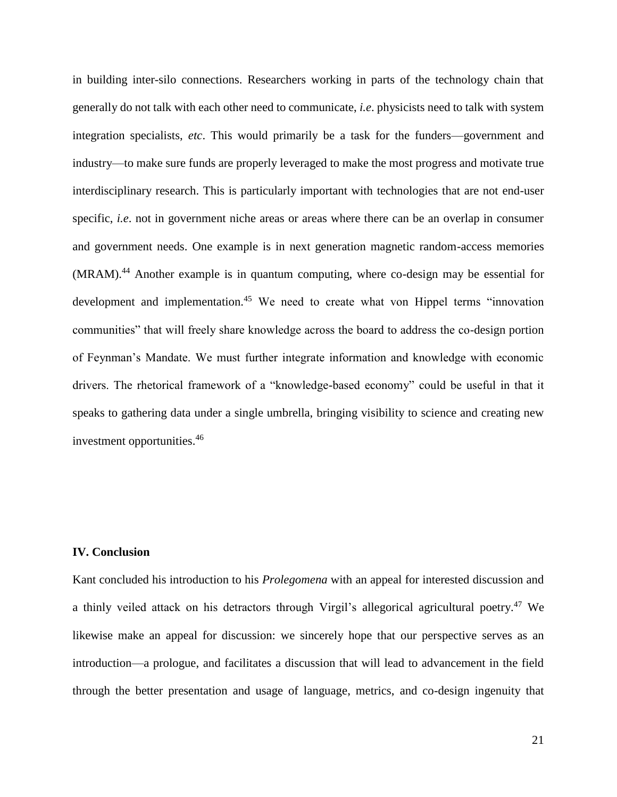in building inter-silo connections. Researchers working in parts of the technology chain that generally do not talk with each other need to communicate, *i.e*. physicists need to talk with system integration specialists, *etc*. This would primarily be a task for the funders—government and industry—to make sure funds are properly leveraged to make the most progress and motivate true interdisciplinary research. This is particularly important with technologies that are not end-user specific, *i.e*. not in government niche areas or areas where there can be an overlap in consumer and government needs. One example is in next generation magnetic random-access memories (MRAM).<sup>44</sup> Another example is in quantum computing, where co-design may be essential for development and implementation.<sup>45</sup> We need to create what von Hippel terms "innovation communities" that will freely share knowledge across the board to address the co-design portion of Feynman's Mandate. We must further integrate information and knowledge with economic drivers. The rhetorical framework of a "knowledge-based economy" could be useful in that it speaks to gathering data under a single umbrella, bringing visibility to science and creating new investment opportunities.<sup>46</sup>

### **IV. Conclusion**

Kant concluded his introduction to his *Prolegomena* with an appeal for interested discussion and a thinly veiled attack on his detractors through Virgil's allegorical agricultural poetry.<sup>47</sup> We likewise make an appeal for discussion: we sincerely hope that our perspective serves as an introduction—a prologue, and facilitates a discussion that will lead to advancement in the field through the better presentation and usage of language, metrics, and co-design ingenuity that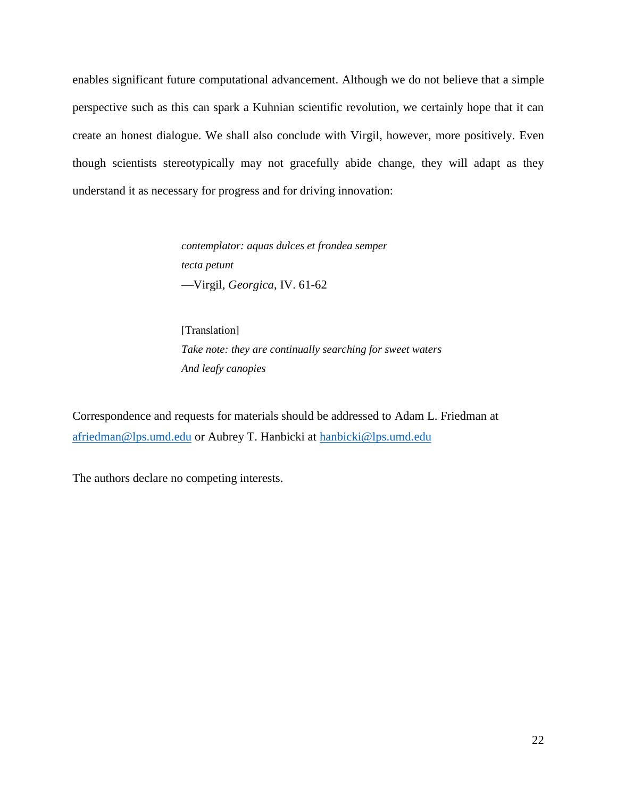enables significant future computational advancement. Although we do not believe that a simple perspective such as this can spark a Kuhnian scientific revolution, we certainly hope that it can create an honest dialogue. We shall also conclude with Virgil, however, more positively. Even though scientists stereotypically may not gracefully abide change, they will adapt as they understand it as necessary for progress and for driving innovation:

> *contemplator: aquas dulces et frondea semper tecta petunt* —Virgil, *Georgica*, IV. 61-62

[Translation] *Take note: they are continually searching for sweet waters And leafy canopies*

Correspondence and requests for materials should be addressed to Adam L. Friedman at [afriedman@lps.umd.edu](mailto:afriedman@lps.umd.edu) or Aubrey T. Hanbicki at [hanbicki@lps.umd.edu](mailto:hanbicki@lps.umd.edu)

The authors declare no competing interests.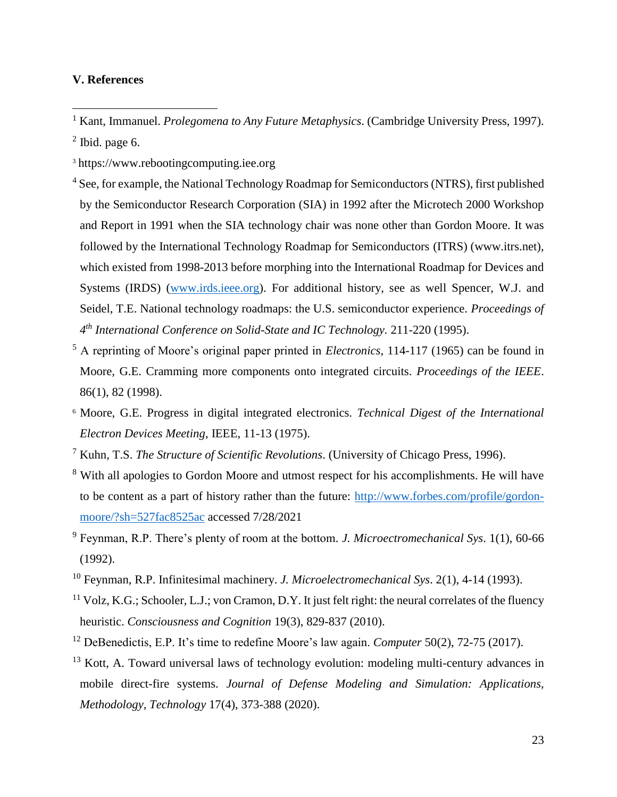# **V. References**

- <sup>1</sup> Kant, Immanuel. *Prolegomena to Any Future Metaphysics*. (Cambridge University Press, 1997).  $2$  Ibid. page 6.
- <sup>3</sup> https://www.rebootingcomputing.iee.org
- <sup>4</sup> See, for example, the National Technology Roadmap for Semiconductors (NTRS), first published by the Semiconductor Research Corporation (SIA) in 1992 after the Microtech 2000 Workshop and Report in 1991 when the SIA technology chair was none other than Gordon Moore. It was followed by the International Technology Roadmap for Semiconductors (ITRS) (www.itrs.net), which existed from 1998-2013 before morphing into the International Roadmap for Devices and Systems (IRDS) [\(www.irds.ieee.org\)](http://www.irds.ieee.org/). For additional history, see as well Spencer, W.J. and Seidel, T.E. National technology roadmaps: the U.S. semiconductor experience. *Proceedings of 4 th International Conference on Solid-State and IC Technology.* 211-220 (1995).
- <sup>5</sup> A reprinting of Moore's original paper printed in *Electronics*, 114-117 (1965) can be found in Moore, G.E. Cramming more components onto integrated circuits. *Proceedings of the IEEE*. 86(1), 82 (1998).
- <sup>6</sup> Moore, G.E. Progress in digital integrated electronics. *Technical Digest of the International Electron Devices Meeting*, IEEE, 11-13 (1975).
- <sup>7</sup> Kuhn, T.S. *The Structure of Scientific Revolutions*. (University of Chicago Press, 1996).
- <sup>8</sup> With all apologies to Gordon Moore and utmost respect for his accomplishments. He will have to be content as a part of history rather than the future: [http://www.forbes.com/profile/gordon](http://www.forbes.com/profile/gordon-moore/?sh=527fac8525ac)[moore/?sh=527fac8525ac](http://www.forbes.com/profile/gordon-moore/?sh=527fac8525ac) accessed 7/28/2021
- <sup>9</sup> Feynman, R.P. There's plenty of room at the bottom*. J. Microectromechanical Sys*. 1(1), 60-66 (1992).
- <sup>10</sup> Feynman, R.P. Infinitesimal machinery. *J. Microelectromechanical Sys*. 2(1), 4-14 (1993).
- $11 \text{ Volz}, \text{K.G.};$  Schooler, L.J.; von Cramon, D.Y. It just felt right: the neural correlates of the fluency heuristic. *Consciousness and Cognition* 19(3), 829-837 (2010).
- <sup>12</sup> DeBenedictis, E.P. It's time to redefine Moore's law again. *Computer* 50(2), 72-75 (2017).
- $13$  Kott, A. Toward universal laws of technology evolution: modeling multi-century advances in mobile direct-fire systems. *Journal of Defense Modeling and Simulation: Applications, Methodology, Technology* 17(4), 373-388 (2020).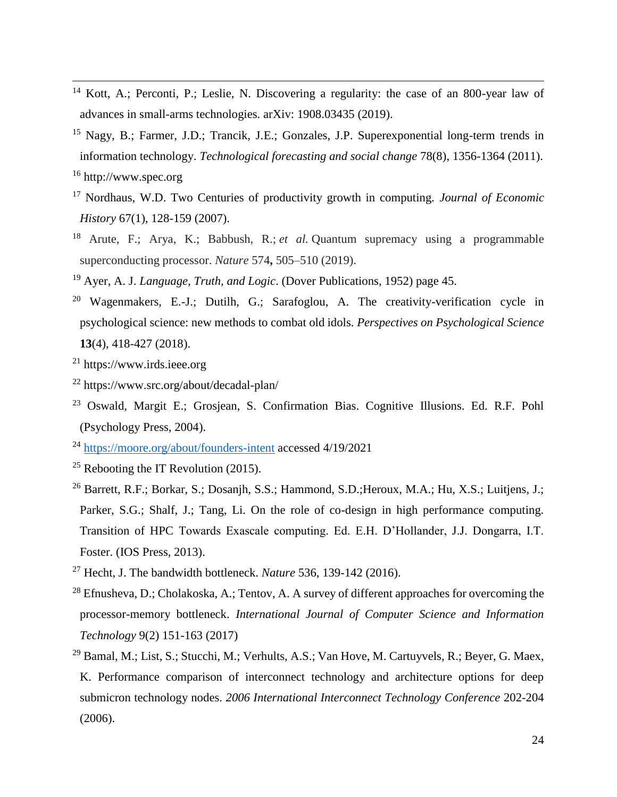- <sup>14</sup> Kott, A.; Perconti, P.; Leslie, N. Discovering a regularity: the case of an 800-year law of advances in small-arms technologies. arXiv: 1908.03435 (2019).
- <sup>15</sup> Nagy, B.; Farmer, J.D.; Trancik, J.E.; Gonzales, J.P. Superexponential long-term trends in information technology. *Technological forecasting and social change* 78(8), 1356-1364 (2011). <sup>16</sup> http://www.spec.org
- <sup>17</sup> Nordhaus, W.D. Two Centuries of productivity growth in computing. *Journal of Economic History* 67(1), 128-159 (2007).
- <sup>18</sup> Arute, F.; Arya, K.; Babbush, R.; *et al.* Quantum supremacy using a programmable superconducting processor. *Nature* 574**,** 505–510 (2019).
- <sup>19</sup> Ayer, A. J. *Language, Truth, and Logic*. (Dover Publications, 1952) page 45.
- <sup>20</sup> Wagenmakers, E.-J.; Dutilh, G.; Sarafoglou, A. The creativity-verification cycle in psychological science: new methods to combat old idols. *Perspectives on Psychological Science* **13**(4), 418-427 (2018).
- <sup>21</sup> https://www.irds.ieee.org

- <sup>22</sup> https://www.src.org/about/decadal-plan/
- <sup>23</sup> Oswald, Margit E.; Grosjean, S. Confirmation Bias. Cognitive Illusions. Ed. R.F. Pohl (Psychology Press, 2004).
- <sup>24</sup> <https://moore.org/about/founders-intent> accessed 4/19/2021
- <sup>25</sup> Rebooting the IT Revolution  $(2015)$ .
- <sup>26</sup> Barrett, R.F.; Borkar, S.; Dosanjh, S.S.; Hammond, S.D.; Heroux, M.A.; Hu, X.S.; Luitjens, J.; Parker, S.G.; Shalf, J.; Tang, Li. On the role of co-design in high performance computing. Transition of HPC Towards Exascale computing. Ed. E.H. D'Hollander, J.J. Dongarra, I.T. Foster. (IOS Press, 2013).
- <sup>27</sup> Hecht, J. The bandwidth bottleneck. *Nature* 536, 139-142 (2016).
- <sup>28</sup> Efnusheva, D.; Cholakoska, A.; Tentov, A. A survey of different approaches for overcoming the processor-memory bottleneck. *International Journal of Computer Science and Information Technology* 9(2) 151-163 (2017)
- <sup>29</sup> Bamal, M.; List, S.; Stucchi, M.; Verhults, A.S.; Van Hove, M. Cartuyvels, R.; Beyer, G. Maex, K. Performance comparison of interconnect technology and architecture options for deep submicron technology nodes. *2006 International Interconnect Technology Conference* 202-204 (2006).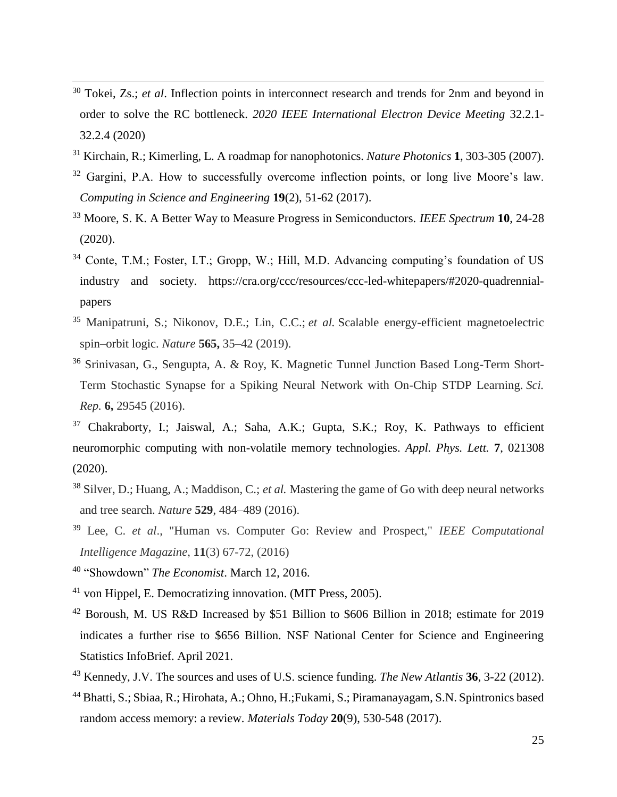- <sup>30</sup> Tokei, Zs.; *et al*. Inflection points in interconnect research and trends for 2nm and beyond in order to solve the RC bottleneck. *2020 IEEE International Electron Device Meeting* 32.2.1- 32.2.4 (2020)
- <sup>31</sup> Kirchain, R.; Kimerling, L. A roadmap for nanophotonics. *Nature Photonics* **1**, 303-305 (2007).
- $32$  Gargini, P.A. How to successfully overcome inflection points, or long live Moore's law. *Computing in Science and Engineering* **19**(2), 51-62 (2017).
- <sup>33</sup> Moore, S. K. A Better Way to Measure Progress in Semiconductors. *IEEE Spectrum* **10**, 24-28 (2020).
- <sup>34</sup> Conte, T.M.; Foster, I.T.; Gropp, W.; Hill, M.D. Advancing computing's foundation of US industry and society. https://cra.org/ccc/resources/ccc-led-whitepapers/#2020-quadrennialpapers
- <sup>35</sup> Manipatruni, S.; Nikonov, D.E.; Lin, C.C.; *et al.* Scalable energy-efficient magnetoelectric spin–orbit logic. *Nature* **565,** 35–42 (2019).
- <sup>36</sup> Srinivasan, G., Sengupta, A. & Roy, K. Magnetic Tunnel Junction Based Long-Term Short-Term Stochastic Synapse for a Spiking Neural Network with On-Chip STDP Learning. *Sci. Rep.* **6,** 29545 (2016).
- <sup>37</sup> Chakraborty, I.; Jaiswal, A.; Saha, A.K.; Gupta, S.K.; Roy, K. Pathways to efficient neuromorphic computing with non-volatile memory technologies. *Appl. Phys. Lett.* **7**, 021308 (2020).
- <sup>38</sup> Silver, D.; Huang, A.; Maddison, C.; *et al.* Mastering the game of Go with deep neural networks and tree search. *Nature* **529**, 484–489 (2016).
- <sup>39</sup> Lee, C. *et al*., "Human vs. Computer Go: Review and Prospect," *IEEE Computational Intelligence Magazine*, **11**(3) 67-72, (2016)
- <sup>40</sup> "Showdown" *The Economist*. March 12, 2016.

- <sup>41</sup> von Hippel, E. Democratizing innovation. (MIT Press, 2005).
- <sup>42</sup> Boroush, M. US R&D Increased by \$51 Billion to \$606 Billion in 2018; estimate for 2019 indicates a further rise to \$656 Billion. NSF National Center for Science and Engineering Statistics InfoBrief. April 2021.
- <sup>43</sup> Kennedy, J.V. The sources and uses of U.S. science funding. *The New Atlantis* **36**, 3-22 (2012).
- <sup>44</sup> Bhatti, S.; Sbiaa, R.; Hirohata, A.; Ohno, H.;Fukami, S.; Piramanayagam, S.N. Spintronics based random access memory: a review. *Materials Today* **20**(9), 530-548 (2017).